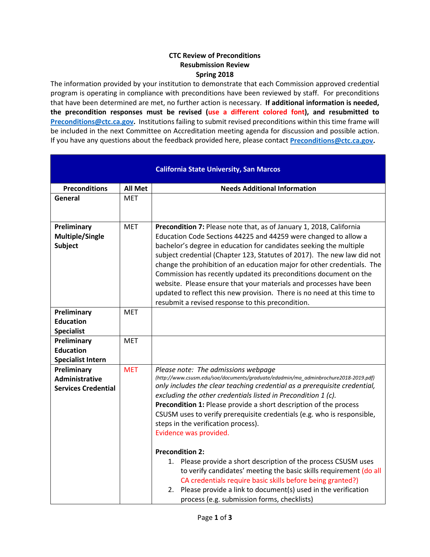## **CTC Review of Preconditions Resubmission Review Spring 2018**

The information provided by your institution to demonstrate that each Commission approved credential program is operating in compliance with preconditions have been reviewed by staff. For preconditions that have been determined are met, no further action is necessary. **If additional information is needed, the precondition responses must be revised (use a different colored font), and resubmitted to [Preconditions@ctc.ca.gov.](mailto:Preconditions@ctc.ca.gov)** Institutions failing to submit revised preconditions within this time frame will be included in the next Committee on Accreditation meeting agenda for discussion and possible action. If you have any questions about the feedback provided here, please contact **[Preconditions@ctc.ca.gov.](mailto:Preconditions@ctc.ca.gov)** 

|                                                             |                | <b>California State University, San Marcos</b>                                                                                                                                                                                                                                                                                                                                                                                                                                                                                                                                                                                                |
|-------------------------------------------------------------|----------------|-----------------------------------------------------------------------------------------------------------------------------------------------------------------------------------------------------------------------------------------------------------------------------------------------------------------------------------------------------------------------------------------------------------------------------------------------------------------------------------------------------------------------------------------------------------------------------------------------------------------------------------------------|
| <b>Preconditions</b>                                        | <b>All Met</b> | <b>Needs Additional Information</b>                                                                                                                                                                                                                                                                                                                                                                                                                                                                                                                                                                                                           |
| General                                                     | <b>MET</b>     |                                                                                                                                                                                                                                                                                                                                                                                                                                                                                                                                                                                                                                               |
| Preliminary<br><b>Multiple/Single</b><br><b>Subject</b>     | <b>MET</b>     | Precondition 7: Please note that, as of January 1, 2018, California<br>Education Code Sections 44225 and 44259 were changed to allow a<br>bachelor's degree in education for candidates seeking the multiple<br>subject credential (Chapter 123, Statutes of 2017). The new law did not<br>change the prohibition of an education major for other credentials. The<br>Commission has recently updated its preconditions document on the<br>website. Please ensure that your materials and processes have been<br>updated to reflect this new provision. There is no need at this time to<br>resubmit a revised response to this precondition. |
| Preliminary                                                 | <b>MET</b>     |                                                                                                                                                                                                                                                                                                                                                                                                                                                                                                                                                                                                                                               |
| <b>Education</b>                                            |                |                                                                                                                                                                                                                                                                                                                                                                                                                                                                                                                                                                                                                                               |
| <b>Specialist</b>                                           |                |                                                                                                                                                                                                                                                                                                                                                                                                                                                                                                                                                                                                                                               |
| Preliminary                                                 | <b>MET</b>     |                                                                                                                                                                                                                                                                                                                                                                                                                                                                                                                                                                                                                                               |
| <b>Education</b>                                            |                |                                                                                                                                                                                                                                                                                                                                                                                                                                                                                                                                                                                                                                               |
| <b>Specialist Intern</b>                                    |                |                                                                                                                                                                                                                                                                                                                                                                                                                                                                                                                                                                                                                                               |
| Preliminary<br>Administrative<br><b>Services Credential</b> | <b>MET</b>     | Please note: The admissions webpage<br>(http://www.csusm.edu/soe/documents/graduate/edadmin/ma_adminbrochure2018-2019.pdf)<br>only includes the clear teaching credential as a prerequisite credential,<br>excluding the other credentials listed in Precondition 1 (c).<br>Precondition 1: Please provide a short description of the process<br>CSUSM uses to verify prerequisite credentials (e.g. who is responsible,<br>steps in the verification process).<br>Evidence was provided.                                                                                                                                                     |
|                                                             |                | <b>Precondition 2:</b><br>1. Please provide a short description of the process CSUSM uses<br>to verify candidates' meeting the basic skills requirement (do all<br>CA credentials require basic skills before being granted?)<br>2. Please provide a link to document(s) used in the verification<br>process (e.g. submission forms, checklists)                                                                                                                                                                                                                                                                                              |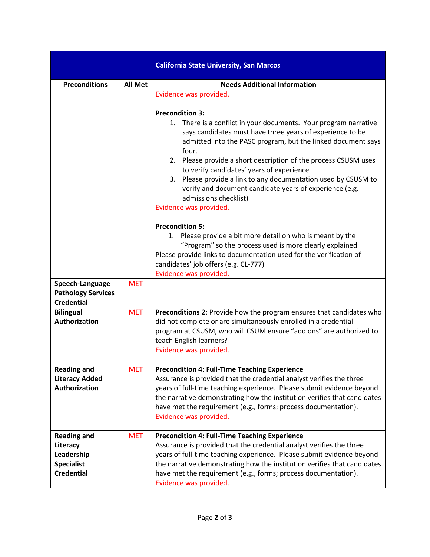|                                                                                        |                | <b>California State University, San Marcos</b>                                                                                                                                                                                                                                                                                                                                                                                                                                                                                                             |
|----------------------------------------------------------------------------------------|----------------|------------------------------------------------------------------------------------------------------------------------------------------------------------------------------------------------------------------------------------------------------------------------------------------------------------------------------------------------------------------------------------------------------------------------------------------------------------------------------------------------------------------------------------------------------------|
| <b>Preconditions</b>                                                                   | <b>All Met</b> | <b>Needs Additional Information</b>                                                                                                                                                                                                                                                                                                                                                                                                                                                                                                                        |
|                                                                                        |                | Evidence was provided.<br><b>Precondition 3:</b><br>1. There is a conflict in your documents. Your program narrative<br>says candidates must have three years of experience to be<br>admitted into the PASC program, but the linked document says<br>four.<br>2. Please provide a short description of the process CSUSM uses<br>to verify candidates' years of experience<br>3. Please provide a link to any documentation used by CSUSM to<br>verify and document candidate years of experience (e.g.<br>admissions checklist)<br>Evidence was provided. |
|                                                                                        |                | <b>Precondition 5:</b><br>1. Please provide a bit more detail on who is meant by the<br>"Program" so the process used is more clearly explained<br>Please provide links to documentation used for the verification of<br>candidates' job offers (e.g. CL-777)<br>Evidence was provided.                                                                                                                                                                                                                                                                    |
| Speech-Language<br><b>Pathology Services</b><br><b>Credential</b>                      | <b>MET</b>     |                                                                                                                                                                                                                                                                                                                                                                                                                                                                                                                                                            |
| <b>Bilingual</b><br><b>Authorization</b>                                               | <b>MET</b>     | <b>Preconditions 2: Provide how the program ensures that candidates who</b><br>did not complete or are simultaneously enrolled in a credential<br>program at CSUSM, who will CSUM ensure "add ons" are authorized to<br>teach English learners?<br>Evidence was provided.                                                                                                                                                                                                                                                                                  |
| <b>Reading and</b><br><b>Literacy Added</b><br>Authorization                           | <b>MET</b>     | <b>Precondition 4: Full-Time Teaching Experience</b><br>Assurance is provided that the credential analyst verifies the three<br>years of full-time teaching experience. Please submit evidence beyond<br>the narrative demonstrating how the institution verifies that candidates<br>have met the requirement (e.g., forms; process documentation).<br>Evidence was provided.                                                                                                                                                                              |
| <b>Reading and</b><br>Literacy<br>Leadership<br><b>Specialist</b><br><b>Credential</b> | <b>MET</b>     | <b>Precondition 4: Full-Time Teaching Experience</b><br>Assurance is provided that the credential analyst verifies the three<br>years of full-time teaching experience. Please submit evidence beyond<br>the narrative demonstrating how the institution verifies that candidates<br>have met the requirement (e.g., forms; process documentation).<br>Evidence was provided.                                                                                                                                                                              |